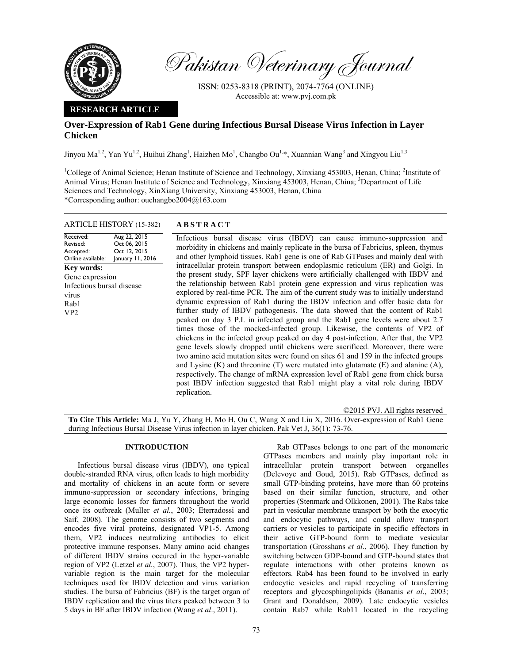

Pakistan Veterinary Journal

ISSN: 0253-8318 (PRINT), 2074-7764 (ONLINE) Accessible at: www.pvj.com.pk

## **RESEARCH ARTICLE**

# **Over-Expression of Rab1 Gene during Infectious Bursal Disease Virus Infection in Layer Chicken**

Jinyou Ma<sup>1,2</sup>, Yan Yu<sup>1,2</sup>, Huihui Zhang<sup>1</sup>, Haizhen Mo<sup>1</sup>, Changbo Ou<sup>1,\*</sup>, Xuannian Wang<sup>3</sup> and Xingyou Liu<sup>1,3</sup>

<sup>1</sup>College of Animal Science; Henan Institute of Science and Technology, Xinxiang 453003, Henan, China; <sup>2</sup>Institute of Animal Virus; Henan Institute of Science and Technology, Xinxiang 453003, Henan, China; <sup>3</sup>Department of Life Sciences and Technology, XinXiang University, Xinxiang 453003, Henan, China \*Corresponding author: ouchangbo2004@163.com

## ARTICLE HISTORY (15-382) **ABSTRACT**

Received: Revised: Accepted: Online available: Aug 22, 2015 Oct 06, 2015 Oct 12, 2015 January 11, 2016 **Key words:**  Gene expression Infectious bursal disease virus Rab1 VP2

 Infectious bursal disease virus (IBDV) can cause immuno-suppression and morbidity in chickens and mainly replicate in the bursa of Fabricius, spleen, thymus and other lymphoid tissues. Rab1 gene is one of Rab GTPases and mainly deal with intracellular protein transport between endoplasmic reticulum (ER) and Golgi. In the present study, SPF layer chickens were artificially challenged with IBDV and the relationship between Rab1 protein gene expression and virus replication was explored by real-time PCR. The aim of the current study was to initially understand dynamic expression of Rab1 during the IBDV infection and offer basic data for further study of IBDV pathogenesis. The data showed that the content of Rab1 peaked on day 3 P.I. in infected group and the Rab1 gene levels were about 2.7 times those of the mocked-infected group. Likewise, the contents of VP2 of chickens in the infected group peaked on day 4 post-infection. After that, the VP2 gene levels slowly dropped until chickens were sacrificed. Moreover, there were two amino acid mutation sites were found on sites 61 and 159 in the infected groups and Lysine  $(K)$  and threonine  $(T)$  were mutated into glutamate  $(E)$  and alanine  $(A)$ , respectively. The change of mRNA expression level of Rab1 gene from chick bursa post IBDV infection suggested that Rab1 might play a vital role during IBDV replication.

©2015 PVJ. All rights reserved **To Cite This Article:** Ma J, Yu Y, Zhang H, Mo H, Ou C, Wang X and Liu X, 2016. Over-expression of Rab1 Gene during Infectious Bursal Disease Virus infection in layer chicken. Pak Vet J, 36(1): 73-76.

## **INTRODUCTION**

Infectious bursal disease virus (IBDV), one typical double-stranded RNA virus, often leads to high morbidity and mortality of chickens in an acute form or severe immuno-suppression or secondary infections, bringing large economic losses for farmers throughout the world once its outbreak (Muller *et al.*, 2003; Eterradossi and Saif, 2008). The genome consists of two segments and encodes five viral proteins, designated VP1-5. Among them, VP2 induces neutralizing antibodies to elicit protective immune responses. Many amino acid changes of different IBDV strains occured in the hyper-variable region of VP2 (Letzel *et al.*, 2007). Thus, the VP2 hypervariable region is the main target for the molecular techniques used for IBDV detection and virus variation studies. The bursa of Fabricius (BF) is the target organ of IBDV replication and the virus titers peaked between 3 to 5 days in BF after IBDV infection (Wang *et al*., 2011).

Rab GTPases belongs to one part of the monomeric GTPases members and mainly play important role in intracellular protein transport between organelles (Delevoye and Goud, 2015). Rab GTPases, defined as small GTP-binding proteins, have more than 60 proteins based on their similar function, structure, and other properties (Stenmark and Olkkonen, 2001). The Rabs take part in vesicular membrane transport by both the exocytic and endocytic pathways, and could allow transport carriers or vesicles to participate in specific effectors in their active GTP-bound form to mediate vesicular transportation (Grosshans *et al*., 2006). They function by switching between GDP-bound and GTP-bound states that regulate interactions with other proteins known as effectors. Rab4 has been found to be involved in early endocytic vesicles and rapid recycling of transferring receptors and glycosphingolipids (Bananis *et al*., 2003; Grant and Donaldson, 2009). Late endocytic vesicles contain Rab7 while Rab11 located in the recycling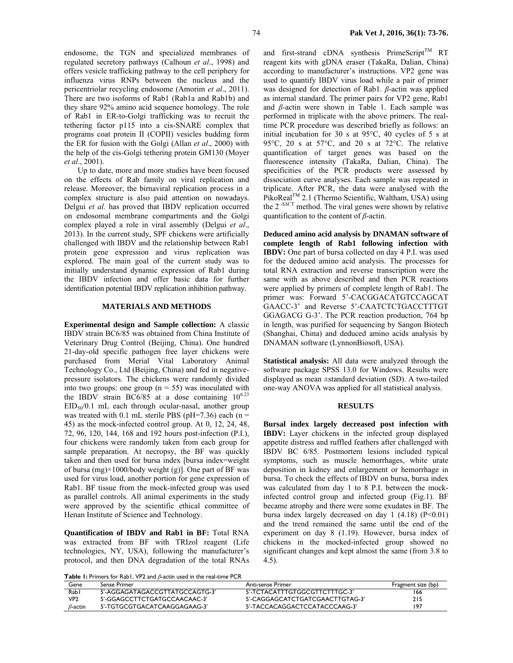endosome, the TGN and specialized membranes of regulated secretory pathways (Calhoun *et al*., 1998) and offers vesicle trafficking pathway to the cell periphery for influenza virus RNPs between the nucleus and the pericentriolar recycling endosome (Amorim *et al*., 2011). There are two isoforms of Rab1 (Rab1a and Rab1b) and they share 92% amino acid sequence homology. The role of Rab1 in ER-to-Golgi trafficking was to recruit the tethering factor p115 into a cis-SNARE complex that programs coat protein II (COPII) vesicles budding form the ER for fusion with the Golgi (Allan *et al*., 2000) with the help of the cis-Golgi tethering protein GM130 (Moyer *et al*., 2001).

Up to date, more and more studies have been focused on the effects of Rab family on viral replication and release. Moreover, the birnaviral replication process in a complex structure is also paid attention on nowadays. Delgui *et al.* has proved that IBDV replication occurred on endosomal membrane compartments and the Golgi complex played a role in viral assembly (Delgui *et al*., 2013). In the current study, SPF chickens were artificially challenged with IBDV and the relationship between Rab1 protein gene expression and virus replication was explored. The main goal of the current study was to initially understand dynamic expression of Rab1 during the IBDV infection and offer basic data for further identification potential IBDV replication inhibition pathway.

#### **MATERIALS AND METHODS**

**Experimental design and Sample collection:** A classic IBDV strain BC6/85 was obtained from China Institute of Veterinary Drug Control (Beijing, China). One hundred 21-day-old specific pathogen free layer chickens were purchased from Merial Vital Laboratory Animal Technology Co., Ltd (Beijing, China) and fed in negativepressure isolators. The chickens were randomly divided into two groups: one group ( $n = 55$ ) was inoculated with the IBDV strain BC6/85 at a dose containing  $10^{6.23}$  $EID<sub>50</sub>/0.1$  mL each through ocular-nasal, another group was treated with 0.1 mL sterile PBS ( $pH=7.36$ ) each ( $n =$ 45) as the mock-infected control group. At 0, 12, 24, 48, 72, 96, 120, 144, 168 and 192 hours post-infection (P.I.), four chickens were randomly taken from each group for sample preparation. At necropsy, the BF was quickly taken and then used for bursa index [bursa index=weight of bursa (mg)×1000/body weight (g)]. One part of BF was used for virus load, another portion for gene expression of Rab1. BF tissue from the mock-infected group was used as parallel controls. All animal experiments in the study were approved by the scientific ethical committee of Henan Institute of Science and Technology.

**Quantification of IBDV and Rab1 in BF:** Total RNA was extracted from BF with TRIzol reagent (Life technologies, NY, USA), following the manufacturer's protocol, and then DNA degradation of the total RNAs and first-strand cDNA synthesis PrimeScript<sup>TM</sup> RT reagent kits with gDNA eraser (TakaRa, Dalian, China) according to manufacturer's instructions. VP2 gene was used to quantify IBDV virus load while a pair of primer was designed for detection of Rab1. *β*-actin was applied as internal standard. The primer pairs for VP2 gene, Rab1 and *β*-actin were shown in Table 1. Each sample was performed in triplicate with the above primers. The realtime PCR procedure was described briefly as follows: an initial incubation for 30 s at 95°C, 40 cycles of 5 s at 95°C, 20 s at 57°C, and 20 s at 72°C. The relative quantification of target genes was based on the fluorescence intensity (TakaRa, Dalian, China). The specificities of the PCR products were assessed by dissociation curve analyses. Each sample was repeated in triplicate. After PCR, the data were analysed with the PikoReal<sup>TM</sup> 2.1 (Thermo Scientific, Waltham, USA) using the 2–∆∆CT method. The viral genes were shown by relative quantification to the content of *β*-actin.

**Deduced amino acid analysis by DNAMAN software of complete length of Rab1 following infection with IBDV:** One part of bursa collected on day 4 P.I. was used for the deduced amino acid analysis. The processes for total RNA extraction and reverse transcription were the same with as above described and then PCR reactions were applied by primers of complete length of Rab1. The primer was: Forward 5'-CACGGACATGTCCAGCAT GAACC-3' and Reverse 5'-CAATCTCTGACCTTTGT GGAGACG G-3'. The PCR reaction production, 764 bp in length, was purified for sequencing by Sangon Biotech (Shanghai, China) and deduced amino acids analysis by DNAMAN software (LynnonBiosoft, USA).

**Statistical analysis:** All data were analyzed through the software package SPSS 13.0 for Windows. Results were displayed as mean ±standard deviation (SD). A two-tailed one-way ANOVA was applied for all statistical analysis.

## **RESULTS**

**Bursal index largely decreased post infection with IBDV:** Layer chickens in the infected group displayed appetite distress and ruffled feathers after challenged with IBDV BC 6/85. Postmortem lesions included typical symptoms, such as muscle hemorrhages, white urate deposition in kidney and enlargement or hemorrhage in bursa. To check the effects of IBDV on bursa, bursa index was calculated from day 1 to 8 P.I. between the mockinfected control group and infected group (Fig.1). BF became atrophy and there were some exudates in BF. The bursa index largely decreased on day  $1$  (4.18) (P<0.01) and the trend remained the same until the end of the experiment on day 8 (1.19). However, bursa index of chickens in the mocked-infected group showed no significant changes and kept almost the same (from 3.8 to 4.5).

**Table 1:** Primers for Rab1, VP2 and *β*-actin used in the real-time PCR

| Gene           | sense Primer                   | Anti-sense Primer               | Fragment size (bp) |
|----------------|--------------------------------|---------------------------------|--------------------|
| Rabl           | 5'-AGGAGATAGACCGTTATGCCAGTG-3' | 5'-TCTACATTTGTGGCGTTCTTTGC-3'   | 166                |
| VP2            | 5'-GGAGCCTTCTGATGCCAACAAC-3'   | 5'-CAGGAGCATCTGATCGAACTTGTAG-3' | 215                |
| $\beta$ -actin | 5'-TGTGCGTGACATCAAGGAGAAG-3'   | 5'-TACCACAGGACTCCATACCCAAG-3'   | 197                |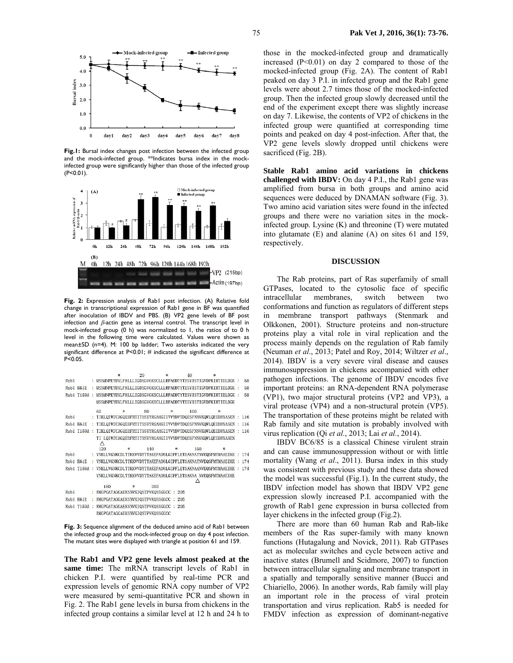

**Fig.1:** Bursal index changes post infection between the infected group and the mock-infected group. \*\*Indicates bursa index in the mockinfected group were significantly higher than those of the infected group  $(P < 0.01)$ .



Fig. 2: Expression analysis of Rab1 post infection. (A) Relative fold change in transcriptional expression of Rab1 gene in BF was quantified after inoculation of IBDV and PBS. (B) VP2 gene levels of BF post infection and *β-*actin gene as internal control. The transcript level in mock-infected group (0 h) was normalized to 1, the ratios of to 0 h level in the following time were calculated. Values were shown as mean±SD (n=4). M: 100 bp ladder; Two asterisks indicated the very significant difference at P<0.01; # indicated the significant difference at P<0.05.

|      |              | $\ast$                                                           | 20     |     |          | 40  | 宋                                                                        |       |
|------|--------------|------------------------------------------------------------------|--------|-----|----------|-----|--------------------------------------------------------------------------|-------|
| Rah1 |              |                                                                  |        |     |          |     | MSSMNPEYDYLEKLLLIGDSGVGKSCLLLREADDTYTESYISTIGVDEKIRTIELDGK :             | 58    |
|      | Rab1 K61E    |                                                                  |        |     |          |     | MSSMNPEYDVLEKLLLTGDSGVGKSCLLLREADDTYTESVISTIGVDEKIRTIELDGK ·             | 58    |
|      | Rab1 T159A : |                                                                  |        |     |          |     | MSSMNPEYDYLFKLLLIGDSGVGKSCLLLRFADDTYTESYISTIGVDFKIRTIELDGK :             | 58    |
|      |              |                                                                  |        |     |          |     | MSSMNPEYDYLFKLLLIGDSGVGKSCLLLRFADDTYTESYISTIGVDFKIRTIELDGK               |       |
|      |              | 60<br>$\ast$                                                     |        | 80  | $\ast$   | 100 | $\ast$                                                                   |       |
| Rab1 |              |                                                                  |        |     |          |     | TIKLQIWDTAGQERFRTITSSYYRGAHGIIVVYDVTDQESFNNVKQWLQEIDRYASEN               | 116   |
| Rah1 | K61E         |                                                                  |        |     |          |     | TIELQIWDTAGQERFRTITSSYYRGAHGIIVVYDVTDQESFNNVKQWLQEIDRYASEN :             | 116   |
| Rab1 | T159A        |                                                                  |        |     |          |     | TIKLQIWDTAGQERFRTITSSYYRGAHGIIVVYDVTDQESFNNVKQWLQEIDRYASEN               | : 116 |
|      |              | ∧<br>120                                                         | $\ast$ | 140 |          | 160 | TI LQIWDTAGQERFRTITSSYYRGAHGIIVVYDVTDQESFNNVKQWLQEIDRYASEN<br>×.         |       |
|      |              |                                                                  |        |     |          |     |                                                                          |       |
| Rab1 |              | VNKLLVGNKCDLTTKKVVDYTTAKEFADSLGIPFLETSAKNATNVEQSFMTMAAEIKK : 174 |        |     |          |     |                                                                          |       |
| Rab1 | <b>K61E</b>  |                                                                  |        |     |          |     | VNKLLVGNKCDLTTKKVVDYTTAKEFADSLGTPFLETSAKNATNVEOSFMTMAAETKK               | 174   |
| Rah1 |              |                                                                  |        |     |          |     | T159A : VNKLLVGNKCDLTTKKVVDYTTAKEFADSLGIPFLETSAKNAANVEQSFMTMAAEIKK : 174 |       |
|      |              |                                                                  |        |     |          | Λ   | VNKLLVGNKCDLTTKKVVDYTTAKEFADSLGIPFLETSAKNA NVEQSFMTMAAEIKK               |       |
|      |              | 180                                                              | $\ast$ | 200 |          |     |                                                                          |       |
| Rab1 |              | RMGPGATAGGAEKSNVKIQSTPVKQSSGGCC : 205                            |        |     |          |     |                                                                          |       |
| Rab1 | <b>K61E</b>  | RMGPGATAGGAEKSNVKIQSTPVKQSSGGCC                                  |        |     | 205<br>O |     |                                                                          |       |
|      | Rab1 T159A : | RMGPGATAGGAEKSNVKIQSTPVKQSSGGCC : 205                            |        |     |          |     |                                                                          |       |

**Fig. 3:** Sequence alignment of the deduced amino acid of Rab1 between the infected group and the mock-infected group on day 4 post infection. The mutant sites were displayed with triangle at position 61 and 159.

**The Rab1 and VP2 gene levels almost peaked at the same time:** The mRNA transcript levels of Rab1 in chicken P.I. were quantified by real-time PCR and expression levels of genomic RNA copy number of VP2 were measured by semi-quantitative PCR and shown in Fig. 2. The Rab1 gene levels in bursa from chickens in the infected group contains a similar level at 12 h and 24 h to

those in the mocked-infected group and dramatically increased  $(P<0.01)$  on day 2 compared to those of the mocked-infected group (Fig. 2A). The content of Rab1 peaked on day 3 P.I. in infected group and the Rab1 gene levels were about 2.7 times those of the mocked-infected group. Then the infected group slowly decreased until the end of the experiment except there was slightly increase on day 7. Likewise, the contents of VP2 of chickens in the infected group were quantified at corresponding time points and peaked on day 4 post-infection. After that, the VP2 gene levels slowly dropped until chickens were sacrificed (Fig. 2B).

**Stable Rab1 amino acid variations in chickens challenged with IBDV:** On day 4 P.I., the Rab1 gene was amplified from bursa in both groups and amino acid sequences were deduced by DNAMAN software (Fig. 3). Two amino acid variation sites were found in the infected groups and there were no variation sites in the mockinfected group. Lysine (K) and threonine (T) were mutated into glutamate (E) and alanine (A) on sites 61 and 159, respectively.

### **DISCUSSION**

The Rab proteins, part of Ras superfamily of small GTPases, located to the cytosolic face of specific intracellular membranes, switch between two conformations and function as regulators of different steps in membrane transport pathways (Stenmark and Olkkonen, 2001). Structure proteins and non-structure proteins play a vital role in viral replication and the process mainly depends on the regulation of Rab family (Neuman *et al*., 2013; Patel and Roy, 2014; Wiltzer *et al*., 2014). IBDV is a very severe viral disease and causes immunosuppression in chickens accompanied with other pathogen infections. The genome of IBDV encodes five important proteins: an RNA-dependent RNA polymerase (VP1), two major structural proteins (VP2 and VP3), a viral protease (VP4) and a non-structural protein (VP5). The transportation of these proteins might be related with Rab family and site mutation is probably involved with virus replication (Qi *et al.*, 2013; Lai *et al.*, 2014).

IBDV BC6/85 is a classical Chinese virulent strain and can cause immunosuppression without or with little mortality (Wang *et al*., 2011). Bursa index in this study was consistent with previous study and these data showed the model was successful (Fig.1). In the current study, the IBDV infection model has shown that IBDV VP2 gene expression slowly increased P.I. accompanied with the growth of Rab1 gene expression in bursa collected from layer chickens in the infected group (Fig.2).

There are more than 60 human Rab and Rab-like members of the Ras super-family with many known functions (Hutagalung and Novick, 2011). Rab GTPases act as molecular switches and cycle between active and inactive states (Brumell and Scidmore, 2007) to function between intracellular signaling and membrane transport in a spatially and temporally sensitive manner (Bucci and Chiariello, 2006). In another words, Rab family will play an important role in the process of viral protein transportation and virus replication. Rab5 is needed for FMDV infection as expression of dominant-negative